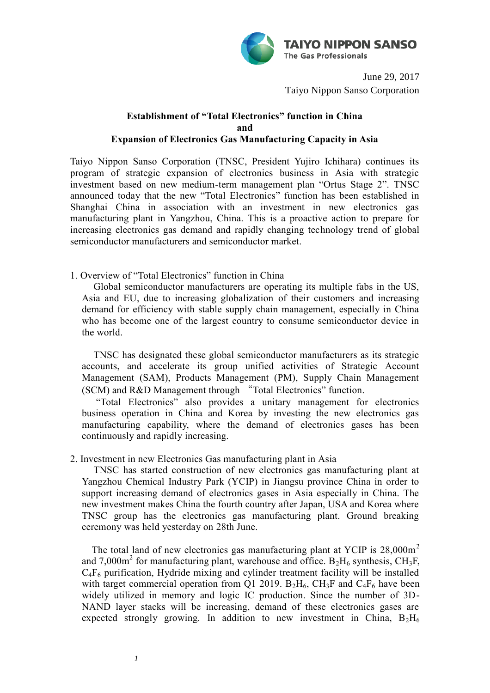

June 29, 2017 Taiyo Nippon Sanso Corporation

## **Establishment of "Total Electronics" function in China and Expansion of Electronics Gas Manufacturing Capacity in Asia**

Taiyo Nippon Sanso Corporation (TNSC, President Yujiro Ichihara) continues its program of strategic expansion of electronics business in Asia with strategic investment based on new medium-term management plan "Ortus Stage 2". TNSC announced today that the new "Total Electronics" function has been established in Shanghai China in association with an investment in new electronics gas manufacturing plant in Yangzhou, China. This is a proactive action to prepare for increasing electronics gas demand and rapidly changing technology trend of global semiconductor manufacturers and semiconductor market.

1. Overview of "Total Electronics" function in China

Global semiconductor manufacturers are operating its multiple fabs in the US, Asia and EU, due to increasing globalization of their customers and increasing demand for efficiency with stable supply chain management, especially in China who has become one of the largest country to consume semiconductor device in the world.

TNSC has designated these global semiconductor manufacturers as its strategic accounts, and accelerate its group unified activities of Strategic Account Management (SAM), Products Management (PM), Supply Chain Management (SCM) and R&D Management through "Total Electronics" function.

"Total Electronics" also provides a unitary management for electronics business operation in China and Korea by investing the new electronics gas manufacturing capability, where the demand of electronics gases has been continuously and rapidly increasing.

2. Investment in new Electronics Gas manufacturing plant in Asia

TNSC has started construction of new electronics gas manufacturing plant at Yangzhou Chemical Industry Park (YCIP) in Jiangsu province China in order to support increasing demand of electronics gases in Asia especially in China. The new investment makes China the fourth country after Japan, USA and Korea where TNSC group has the electronics gas manufacturing plant. Ground breaking ceremony was held yesterday on 28th June.

The total land of new electronics gas manufacturing plant at YCIP is  $28,000\,\text{m}^2$ and 7,000 $m^2$  for manufacturing plant, warehouse and office.  $B_2H_6$  synthesis, CH<sub>3</sub>F,  $C_4F_6$  purification, Hydride mixing and cylinder treatment facility will be installed with target commercial operation from Q1 2019.  $B_2H_6$ , CH<sub>3</sub>F and C<sub>4</sub>F<sub>6</sub> have been widely utilized in memory and logic IC production. Since the number of 3D-NAND layer stacks will be increasing, demand of these electronics gases are expected strongly growing. In addition to new investment in China,  $B_2H_6$